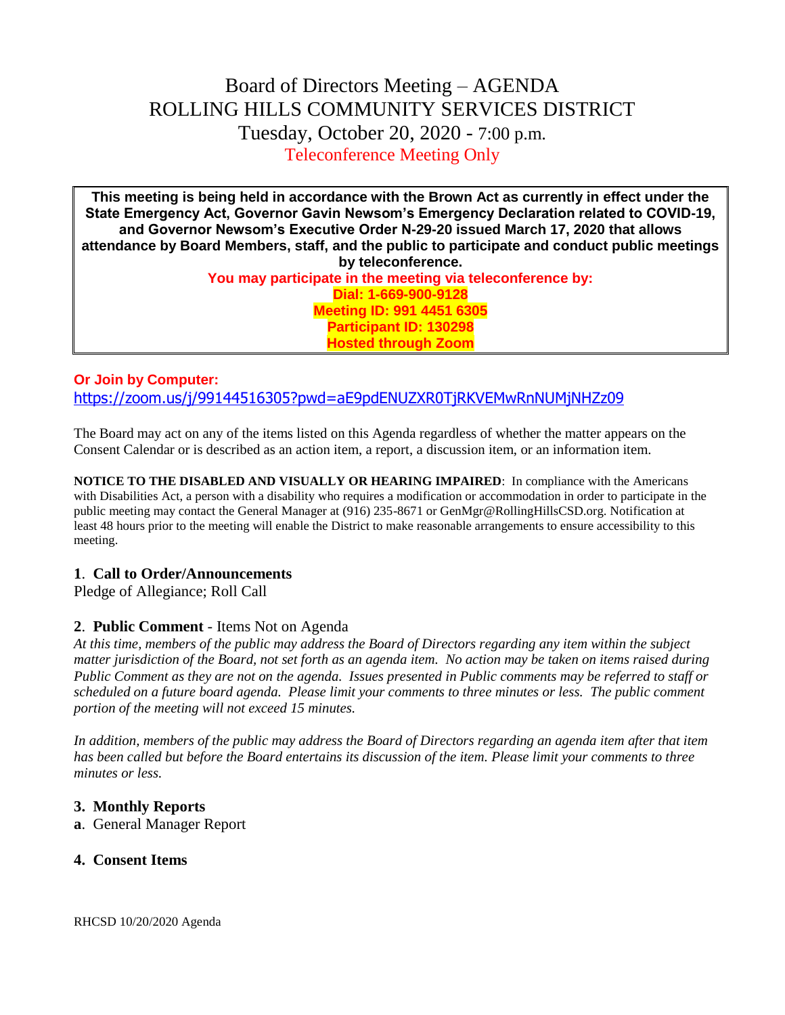# Board of Directors Meeting – AGENDA ROLLING HILLS COMMUNITY SERVICES DISTRICT Tuesday, October 20, 2020 - 7:00 p.m. Teleconference Meeting Only

**This meeting is being held in accordance with the Brown Act as currently in effect under the State Emergency Act, Governor Gavin Newsom's Emergency Declaration related to COVID-19, and Governor Newsom's Executive Order N-29-20 issued March 17, 2020 that allows attendance by Board Members, staff, and the public to participate and conduct public meetings by teleconference. You may participate in the meeting via teleconference by: Dial: 1-669-900-9128 Meeting ID: 991 4451 6305 Participant ID: 130298 Hosted through Zoom**

## **Or Join by Computer:** <https://zoom.us/j/99144516305?pwd=aE9pdENUZXR0TjRKVEMwRnNUMjNHZz09>

The Board may act on any of the items listed on this Agenda regardless of whether the matter appears on the Consent Calendar or is described as an action item, a report, a discussion item, or an information item.

**NOTICE TO THE DISABLED AND VISUALLY OR HEARING IMPAIRED**: In compliance with the Americans with Disabilities Act, a person with a disability who requires a modification or accommodation in order to participate in the public meeting may contact the General Manager at (916) 235-8671 or GenMgr@RollingHillsCSD.org. Notification at least 48 hours prior to the meeting will enable the District to make reasonable arrangements to ensure accessibility to this meeting.

#### **1**. **Call to Order/Announcements**

Pledge of Allegiance; Roll Call

#### **2**. **Public Comment** - Items Not on Agenda

*At this time, members of the public may address the Board of Directors regarding any item within the subject matter jurisdiction of the Board, not set forth as an agenda item. No action may be taken on items raised during Public Comment as they are not on the agenda. Issues presented in Public comments may be referred to staff or scheduled on a future board agenda. Please limit your comments to three minutes or less. The public comment portion of the meeting will not exceed 15 minutes.*

*In addition, members of the public may address the Board of Directors regarding an agenda item after that item has been called but before the Board entertains its discussion of the item. Please limit your comments to three minutes or less.*

#### **3. Monthly Reports**

**a**. General Manager Report

#### **4. Consent Items**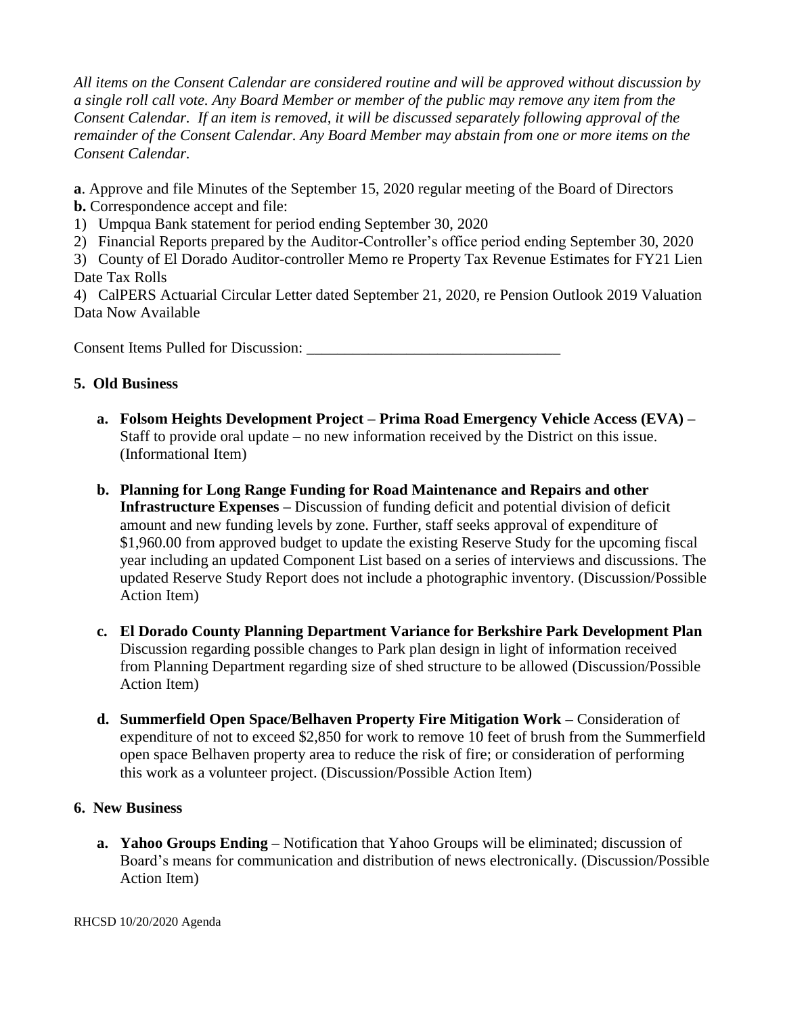*All items on the Consent Calendar are considered routine and will be approved without discussion by a single roll call vote. Any Board Member or member of the public may remove any item from the Consent Calendar. If an item is removed, it will be discussed separately following approval of the remainder of the Consent Calendar. Any Board Member may abstain from one or more items on the Consent Calendar.*

**a**. Approve and file Minutes of the September 15, 2020 regular meeting of the Board of Directors **b.** Correspondence accept and file:

- 1) Umpqua Bank statement for period ending September 30, 2020
- 2) Financial Reports prepared by the Auditor-Controller's office period ending September 30, 2020

3) County of El Dorado Auditor-controller Memo re Property Tax Revenue Estimates for FY21 Lien Date Tax Rolls

4) CalPERS Actuarial Circular Letter dated September 21, 2020, re Pension Outlook 2019 Valuation Data Now Available

Consent Items Pulled for Discussion:

#### **5. Old Business**

- **a. Folsom Heights Development Project – Prima Road Emergency Vehicle Access (EVA) –** Staff to provide oral update – no new information received by the District on this issue. (Informational Item)
- **b. Planning for Long Range Funding for Road Maintenance and Repairs and other Infrastructure Expenses –** Discussion of funding deficit and potential division of deficit amount and new funding levels by zone. Further, staff seeks approval of expenditure of \$1,960.00 from approved budget to update the existing Reserve Study for the upcoming fiscal year including an updated Component List based on a series of interviews and discussions. The updated Reserve Study Report does not include a photographic inventory. (Discussion/Possible Action Item)
- **c. El Dorado County Planning Department Variance for Berkshire Park Development Plan** Discussion regarding possible changes to Park plan design in light of information received from Planning Department regarding size of shed structure to be allowed (Discussion/Possible Action Item)
- **d. Summerfield Open Space/Belhaven Property Fire Mitigation Work –** Consideration of expenditure of not to exceed \$2,850 for work to remove 10 feet of brush from the Summerfield open space Belhaven property area to reduce the risk of fire; or consideration of performing this work as a volunteer project. (Discussion/Possible Action Item)

#### **6. New Business**

**a. Yahoo Groups Ending –** Notification that Yahoo Groups will be eliminated; discussion of Board's means for communication and distribution of news electronically. (Discussion/Possible Action Item)